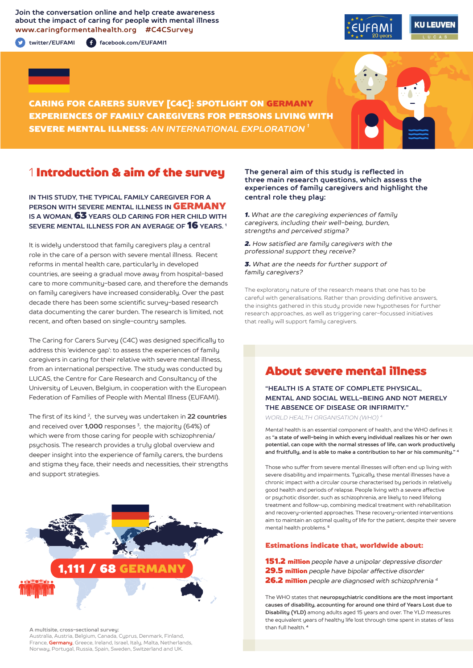**Join the conversation online and help create awareness about the impact of caring for people with mental illness www.caringformentalhealth.org #C4CSurvey**

**twitter/EUFAMI facebook.com/EUFAMI1**





CARING FOR CARERS SURVEY [C4C]: SPOTLIGHT ON GERMANY EXPERIENCES OF FAMILY CAREGIVERS FOR PERSONS LIVING WITH SEVERE MENTAL ILLNESS: *AN INTERNATIONAL EXPLORATION 1*

# 1 Introduction & aim of the survey

**IN THIS STUDY, THE TYPICAL FAMILY CAREGIVER FOR A PERSON WITH SEVERE MENTAL ILLNESS IN** GERMANY **IS A WOMAN,** 63 **YEARS OLD CARING FOR HER CHILD WITH SEVERE MENTAL ILLNESS FOR AN AVERAGE OF** 16 **YEARS. 1**

It is widely understood that family caregivers play a central role in the care of a person with severe mental illness. Recent reforms in mental health care, particularly in developed countries, are seeing a gradual move away from hospital-based care to more community-based care, and therefore the demands on family caregivers have increased considerably. Over the past decade there has been some scientific survey-based research data documenting the carer burden. The research is limited, not recent, and often based on single-country samples.

The Caring for Carers Survey (C4C) was designed specifically to address this 'evidence gap': to assess the experiences of family caregivers in caring for their relative with severe mental illness, from an international perspective. The study was conducted by LUCAS, the Centre for Care Research and Consultancy of the University of Leuven, Belgium, in cooperation with the European Federation of Families of People with Mental Illness (EUFAMI).

The first of its kind 2, the survey was undertaken in **22 countries** and received over **1,000** responses 3, the majority (64%) of which were from those caring for people with schizophrenia/ psychosis. The research provides a truly global overview and deeper insight into the experience of family carers, the burdens and stigma they face, their needs and necessities, their strengths and support strategies.



**A multisite, cross-sectional survey:** 

Australia, Austria, Belgium, Canada, Cyprus, Denmark, Finland, France, **Germany**, Greece, Ireland, Israel, Italy, Malta, Netherlands, Norway, Portugal, Russia, Spain, Sweden, Switzerland and UK.

#### **The general aim of this study is reflected in three main research questions, which assess the experiences of family caregivers and highlight the central role they play:**

*1. What are the caregiving experiences of family caregivers, including their well-being, burden, strengths and perceived stigma?*

*2. How satisfied are family caregivers with the professional support they receive?*

*3. What are the needs for further support of family caregivers?*

The exploratory nature of the research means that one has to be careful with generalisations. Rather than providing definitive answers, the insights gathered in this study provide new hypotheses for further research approaches, as well as triggering carer-focussed initiatives that really will support family caregivers.

# About severe mental illness

**"HEALTH IS A STATE OF COMPLETE PHYSICAL, MENTAL AND SOCIAL WELL-BEING AND NOT MERELY THE ABSENCE OF DISEASE OR INFIRMITY."**

*WORLD HEALTH ORGANISATION (WHO) 4*

Mental health is an essential component of health, and the WHO defines it as **"a state of well-being in which every individual realizes his or her own potential, can cope with the normal stresses of life, can work productively and fruitfully, and is able to make a contribution to her or his community." <sup>4</sup>**

Those who suffer from severe mental illnesses will often end up living with severe disability and impairments. Typically, these mental illnesses have a chronic impact with a circular course characterised by periods in relatively good health and periods of relapse. People living with a severe affective or psychotic disorder, such as schizophrenia, are likely to need lifelong treatment and follow-up, combining medical treatment with rehabilitation and recovery-oriented approaches. These recovery-oriented interventions aim to maintain an optimal quality of life for the patient, despite their severe mental health problems. **<sup>5</sup>**

#### Estimations indicate that, worldwide about:

151.2 million *people have a unipolar depressive disorder*  29.5 million *people have bipolar affective disorder*  26.2 million *people are diagnosed with schizophrenia 4*

The WHO states that **neuropsychiatric conditions are the most important causes of disability, accounting for around one third of Years Lost due to Disability (YLD)** among adults aged 15 years and over. The YLD measures the equivalent years of healthy life lost through time spent in states of less than full health. **<sup>4</sup>**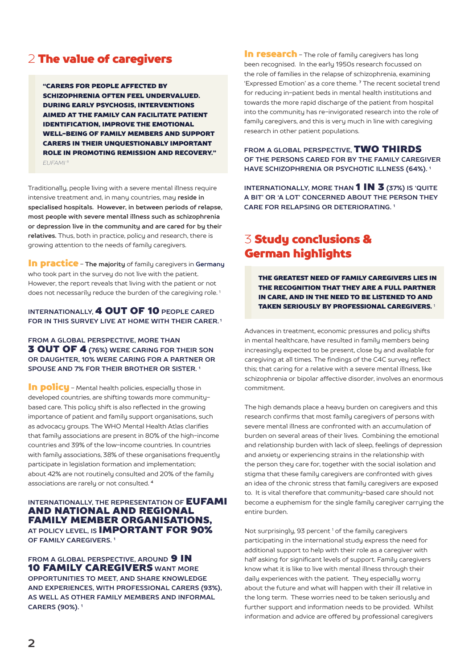# 2 The value of caregivers

"CARERS FOR PEOPLE AFFECTED BY SCHIZOPHRENIA OFTEN FEEL UNDERVALUED. DURING EARLY PSYCHOSIS, INTERVENTIONS AIMED AT THE FAMILY CAN FACILITATE PATIENT IDENTIFICATION, IMPROVE THE EMOTIONAL WELL-BEING OF FAMILY MEMBERS AND SUPPORT CARERS IN THEIR UNQUESTIONABLY IMPORTANT ROLE IN PROMOTING REMISSION AND RECOVERY." *EUFAMI 6*

Traditionally, people living with a severe mental illness require intensive treatment and, in many countries, may **reside in specialised hospitals. However, in between periods of relapse, most people with severe mental illness such as schizophrenia or depression live in the community and are cared for by their relatives.** Thus, both in practice, policy and research, there is growing attention to the needs of family caregivers.

In practice - **The majority** of family caregivers in **Germany** who took part in the survey do not live with the patient. However, the report reveals that living with the patient or not does not necessarily reduce the burden of the caregiving role.<sup>1</sup>

### **INTERNATIONALLY,** 4 OUT OF 10 **PEOPLE CARED FOR IN THIS SURVEY LIVE AT HOME WITH THEIR CARER. 1**

**FROM A GLOBAL PERSPECTIVE, MORE THAN** 3 OUT OF 4 **(76%) WERE CARING FOR THEIR SON OR DAUGHTER, 10% WERE CARING FOR A PARTNER OR SPOUSE AND 7% FOR THEIR BROTHER OR SISTER. 1**

In policu - Mental health policies, especially those in developed countries, are shifting towards more communitybased care. This policy shift is also reflected in the growing importance of patient and family support organisations, such as advocacy groups. The WHO Mental Health Atlas clarifies that family associations are present in 80% of the high-income countries and 39% of the low-income countries. In countries with family associations, 38% of these organisations frequently participate in legislation formation and implementation; about 42% are not routinely consulted and 20% of the family associations are rarely or not consulted. **<sup>4</sup>**

#### **INTERNATIONALLY, THE REPRESENTATION OF EUFAMI** AND NATIONAL AND REGIONAL FAMILY MEMBER ORGANISATIONS, **AT POLICY LEVEL, IS** IMPORTANT FOR 90% **OF FAMILY CAREGIVERS. 1**

**FROM A GLOBAL PERSPECTIVE. AROUND 9 IN** 10 FAMILY CAREGIVERS **WANT MORE OPPORTUNITIES TO MEET, AND SHARE KNOWLEDGE AND EXPERIENCES, WITH PROFESSIONAL CARERS (93%), AS WELL AS OTHER FAMILY MEMBERS AND INFORMAL CARERS (90%). 1**

In research - The role of family caregivers has long been recognised. In the early 1950s research focussed on the role of families in the relapse of schizophrenia, examining 'Expressed Emotion' as a core theme. **7** The recent societal trend for reducing in-patient beds in mental health institutions and towards the more rapid discharge of the patient from hospital into the community has re-invigorated research into the role of family caregivers, and this is very much in line with caregiving research in other patient populations.

**FROM A GLOBAL PERSPECTIVE,** TWO THIRDS **OF THE PERSONS CARED FOR BY THE FAMILY CAREGIVER HAVE SCHIZOPHRENIA OR PSYCHOTIC ILLNESS (64%). 1**

**INTERNATIONALLY, MORE THAN** 1 IN 3 **(37%) IS 'QUITE A BIT' OR 'A LOT' CONCERNED ABOUT THE PERSON THEY CARE FOR RELAPSING OR DETERIORATING. 1**

# 3 Study conclusions & German highlights

THE GREATEST NEED OF FAMILY CAREGIVERS LIES IN THE RECOGNITION THAT THEY ARE A FULL PARTNER IN CARE, AND IN THE NEED TO BE LISTENED TO AND TAKEN SERIOUSLY BY PROFESSIONAL CAREGIVERS. <sup>1</sup>

Advances in treatment, economic pressures and policy shifts in mental healthcare, have resulted in family members being increasingly expected to be present, close by and available for caregiving at all times. The findings of the C4C survey reflect this; that caring for a relative with a severe mental illness, like schizophrenia or bipolar affective disorder, involves an enormous commitment.

The high demands place a heavy burden on caregivers and this research confirms that most family caregivers of persons with severe mental illness are confronted with an accumulation of burden on several areas of their lives. Combining the emotional and relationship burden with lack of sleep, feelings of depression and anxiety or experiencing strains in the relationship with the person they care for, together with the social isolation and stigma that these family caregivers are confronted with gives an idea of the chronic stress that family caregivers are exposed to. It is vital therefore that community-based care should not become a euphemism for the single family caregiver carrying the entire burden.

Not surprisingly, 93 percent<sup>1</sup> of the family caregivers participating in the international study express the need for additional support to help with their role as a caregiver with half asking for significant levels of support. Family caregivers know what it is like to live with mental illness through their daily experiences with the patient. They especially worry about the future and what will happen with their ill relative in the long term. These worries need to be taken seriously and further support and information needs to be provided. Whilst information and advice are offered by professional caregivers